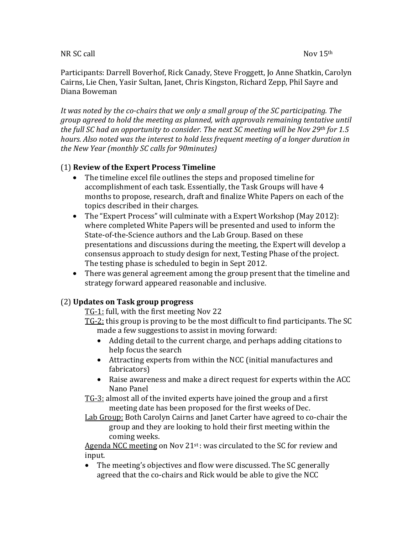### NR SC call  $Nov 15<sup>th</sup>$

Participants: Darrell Boverhof, Rick Canady, Steve Froggett, Jo Anne Shatkin, Carolyn Cairns, Lie Chen, Yasir Sultan, Janet, Chris Kingston, Richard Zepp, Phil Sayre and Diana#Boweman

It was noted by the co-chairs that we only a small group of the SC participating. The *group agreed to hold the meeting as planned, with approvals remaining tentative until* the full SC had an opportunity to consider. The next SC meeting will be Nov 29th for 1.5 *hours. Also noted was the interest to hold less frequent meeting of a longer duration in the#New#Year#(monthly#SC#calls#for#90minutes)*

## (1)#**Review&of&the&Expert&Process&Timeline**

- The timeline excel file outlines the steps and proposed timeline for accomplishment of each task. Essentially, the Task Groups will have 4 months to propose, research, draft and finalize White Papers on each of the topics described in their charges.
- The "Expert Process" will culminate with a Expert Workshop (May 2012): where completed White Papers will be presented and used to inform the State-of-the-Science authors and the Lab Group. Based on these presentations and discussions during the meeting, the Expert will develop a consensus approach to study design for next. Testing Phase of the project. The testing phase is scheduled to begin in Sept 2012.
- There was general agreement among the group present that the timeline and strategy forward appeared reasonable and inclusive.

### (2)#**Updates&on&Task&group&progress**

 $TG-1$ : full, with the first meeting Nov 22

- TG-2: this group is proving to be the most difficult to find participants. The SC made a few suggestions to assist in moving forward:
	- Adding detail to the current charge, and perhaps adding citations to  $\overline{a}$ help focus the search
	- Attracting experts from within the NCC (initial manufactures and  $\blacksquare$ fabricators)
	- Raise awareness and make a direct request for experts within the ACC Nano Panel

TG-3: almost all of the invited experts have joined the group and a first meeting date has been proposed for the first weeks of Dec.

Lab Group: Both Carolyn Cairns and Janet Carter have agreed to co-chair the group and they are looking to hold their first meeting within the coming weeks.

Agenda NCC meeting on Nov 21st : was circulated to the SC for review and input.

• The meeting's objectives and flow were discussed. The SC generally agreed that the co-chairs and Rick would be able to give the NCC